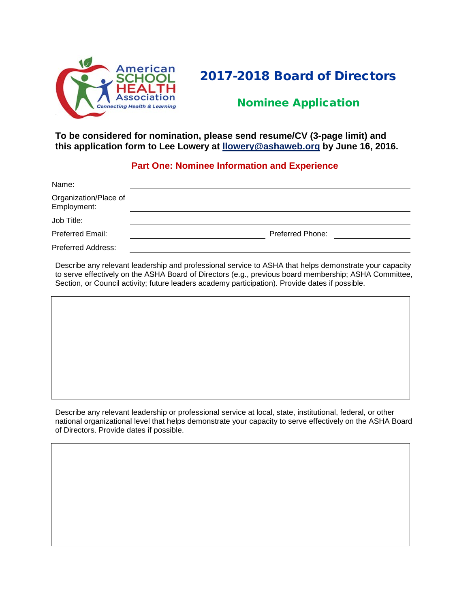

# 2017-2018 Board of Directors

## Nominee Application

#### **To be considered for nomination, please send resume/CV (3-page limit) and this application form to Lee Lowery at [llowery@ashaweb.](mailto:llowery@ashaweb.org)org by June 16, 2016.**

### **Part One: Nominee Information and Experience**

| Name:                                |                         |
|--------------------------------------|-------------------------|
| Organization/Place of<br>Employment: |                         |
| Job Title:                           |                         |
| Preferred Email:                     | <b>Preferred Phone:</b> |
| <b>Preferred Address:</b>            |                         |

Describe any relevant leadership and professional service to ASHA that helps demonstrate your capacity to serve effectively on the ASHA Board of Directors (e.g., previous board membership; ASHA Committee, Section, or Council activity; future leaders academy participation). Provide dates if possible.

Describe any relevant leadership or professional service at local, state, institutional, federal, or other national organizational level that helps demonstrate your capacity to serve effectively on the ASHA Board of Directors. Provide dates if possible.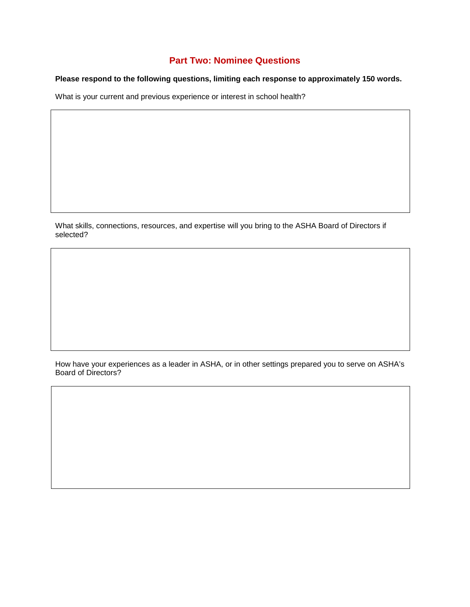## **Part Two: Nominee Questions**

#### **Please respond to the following questions, limiting each response to approximately 150 words.**

What is your current and previous experience or interest in school health?

What skills, connections, resources, and expertise will you bring to the ASHA Board of Directors if selected?

How have your experiences as a leader in ASHA, or in other settings prepared you to serve on ASHA's Board of Directors?